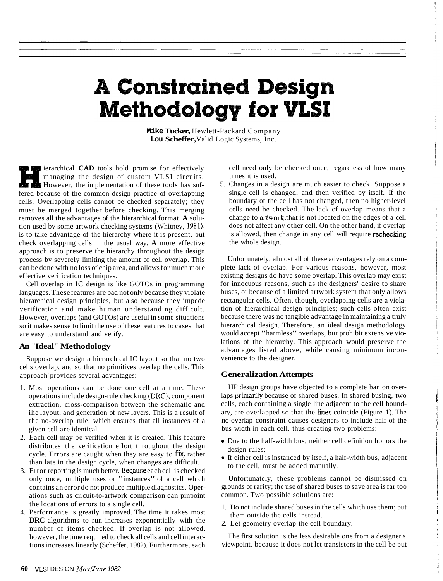## **A Constrained Design Methodology for VLSI**

**Mike Tucker,** Hewlett-Packard Company **Lou Scheffer,** Valid Logic Systems, Inc.

**i** ierarchical **CAD** tools hold promise for effectively managing the design of custom VLSI circuits. However, the implementation of these tools has suffered because of the common design practice of overlapping cells. Overlapping cells cannot be checked separately; they must be merged together before checking. This merging removes all the advantages of the hierarchical format. **A** solution used by some artwork checking systems (Whitney, 1981), is to take advantage of the hierarchy where it is present, but check overlapping cells in the usual way. **A** more effective approach is to preserve the hierarchy throughout the design process by severely limiting the amount of cell overlap. This can be done with no loss of chip area, and allows for much more effective verification techniques.

Cell overlap in IC design is like GOTOs in programming languages. These features are bad not only because they violate hierarchical design principles, but also because they impede verification and make human understanding difficult. However, overlaps (and GOTOs) are useful in some situations so it makes sense to limit the use of these features to cases that are easy to understand and verify.

#### **An "Ideal" Methodology**

Suppose we design a hierarchical IC layout so that no two cells overlap, and so that no primitives overlap the cells. This approach' provides several advantages:

- 1. Most operations can be done one cell at a time. These operations include design-rule checking (DRC), component extraction, cross-comparison between the schematic and ihe layout, and generation of new layers. This is a result of the no-overlap rule, which ensures that all instances of a given cell are identical.
- 2. Each cell may be verified when it is created. This feature distributes the verification effort throughout the design cycle. Errors are caught when they are easy to fix, rather than late in the design cycle, when changes are difficult.
- 3. Error reporting is much better. Beqause each cell is checked only once, multiple uses or "instances" of a cell which contains an error do not produce multiple diagnostics. Operations such as circuit-to-artwork comparison can pinpoint the locations of errors to a single cell.
- 4. Performance is greatly improved. The time it takes most **DRC** algorithms to run increases exponentially with the number of items checked. If overlap is not allowed, however, the time required to check all cells and cell interactions increases linearly (Scheffer, 1982). Furthermore, each

cell need only be checked once, regardless of how many times it is used.

5. Changes in a design are much easier to check. Suppose a single cell is changed, and then verified by itself. If the boundary of the cell has not changed, then no higher-level cells need be checked. The lack of overlap means that a change to artwork that is not located on the edges of a cell does not affect any other cell. On the other hand, if overlap is allowed, then change in any cell will require rechecking the whole design.

Unfortunately, almost all of these advantages rely on a complete lack of overlap. For various reasons, however, most existing designs do have some overlap. This overlap may exist for innocuous reasons, such as the designers' desire to share buses, or because of a limited artwork system that only allows rectangular cells. Often, though, overlapping cells are a violation of hierarchical design principles; such cells often exist because there was no tangible advantage in maintaining a truly hierarchical design. Therefore, an ideal design methodology would accept "harmless" overlaps, but prohibit extensive violations of the hierarchy. This approach would preserve the advantages listed above, while causing minimum inconvenience to the designer.

#### **Generalization Attempts**

HP design groups have objected to a complete ban on overlaps primarily because of shared buses. In shared busing, two cells, each containing a single line adjacent to the cell boundary, are overlapped so that the limes coincide (Figure 1). The no-overlap constraint causes designers to include half of the bus width in each cell, thus creating two problems:

- \* Due to the half-width bus, neither cell definition honors the design rules;
- If either cell is instanced by itself, a half-width bus, adjacent to the cell, must be added manually.

Unfortunately, these problems cannot be dismissed on grounds of rarity; the use of shared buses to save area is far too common. Two possible solutions are:

- 1. Do not include shared buses in the cells which use them; put them outside the cells instead.
- 2. Let geometry overlap the cell boundary.

The first solution is the less desirable one from a designer's viewpoint, because it does not let transistors in the cell be put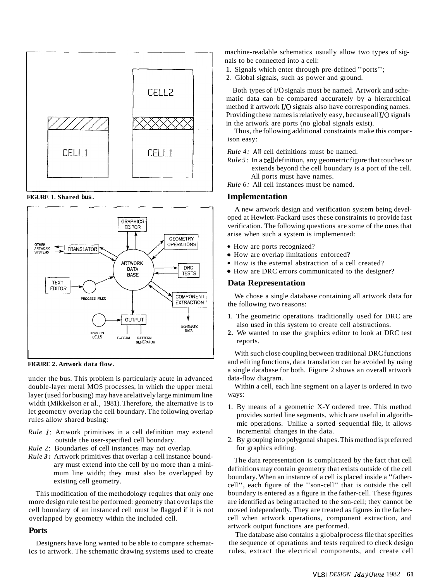

**FIGURE 1. Shared bus.** 



**FIGURE 2. Artwork data flow.** 

under the bus. This problem is particularly acute in advanced double-layer metal MOS processes, in which the upper metal layer (used for busing) may have arelatively large minimum line width (Mikkelson *et* al., 1981). Therefore, the alternative is to let geometry overlap the cell boundary. The following overlap rules allow shared busing:

- *Rule* 1: Artwork primitives in a cell definition may extend outside the user-specified cell boundary.
- *Rule* 2: Boundaries of cell instances may not overlap.
- *Rule 3:* Artwork primitives that overlap a cell instance boundary must extend into the cell by no more than a minimum line width; they must also be overlapped by existing cell geometry.

This modification of the methodology requires that only one more design rule test be performed: geometry that overlaps the cell boundary of an instanced cell must be flagged if it is not overlapped by geometry within the included cell.

#### **Ports**

Designers have long wanted to be able to compare schematics to artwork. The schematic drawing systems used to create machine-readable schematics usually allow two types of signals to be connected into a cell:

- 1. Signals which enter through pre-defined "ports";
- 2. Global signals, such as power and ground.

Both types of I/O signals must be named. Artwork and schematic data can be compared accurately by a hierarchical method if artwork I/O signals also have corresponding names. Providing these names is relatively easy, because all  *signals* in the artwork are ports (no global signals exist).

Thus, the following additional constraints make this comparison easy:

*Rule 4:* All cell definitions must be named.

*Rule 5:* In a cell definition, any geometric figure that touches or extends beyond the cell boundary is a port of the cell. All ports must have names.

*Rule 6:* All cell instances must be named.

#### **Implementation**

A new artwork design and verification system being developed at Hewlett-Packard uses these constraints to provide fast verification. The following questions are some of the ones that arise when such a system is implemented:

- How are ports recognized?
- How are overlap limitations enforced?
- How is the external abstraction of a cell created?
- $\bullet$  How are DRC errors communicated to the designer?

#### **Data Representation**

We chose a single database containing all artwork data for the following two reasons:

- 1. The geometric operations traditionally used for DRC are also used in this system to create cell abstractions.
- **2.** We wanted to use the graphics editor to look at DRC test reports.

With such close coupling between traditional DRC functions and editing functions, data translation can be avoided by using a single database for both. Figure 2 shows an overall artwork data-flow diagram.

Within a cell, each line segment on a layer is ordered in two ways:

- 1. By means of a geometric X-Y ordered tree. This method provides sorted line segments, which are useful in algorithmic operations. Unlike a sorted sequential file, it allows incremental changes in the data.
- 2. By grouping into polygonal shapes. This method is preferred for graphics editing.

The data representation is complicated by the fact that cell definitions may contain geometry that exists outside of the cell boundary. When an instance of a cell is placed inside a "fathercell", each figure of the "son-cell" that is outside the cell boundary is entered as a figure in the father-cell. These figures are identified as being attached to the son-cell; they cannot be moved independently. They are treated as figures in the fathercell when artwork operations, component extraction, and artwork output functions are performed.

The database also contains a globalprocess file that specifies the sequence of operations and tests required to check design rules, extract the electrical components, and create cell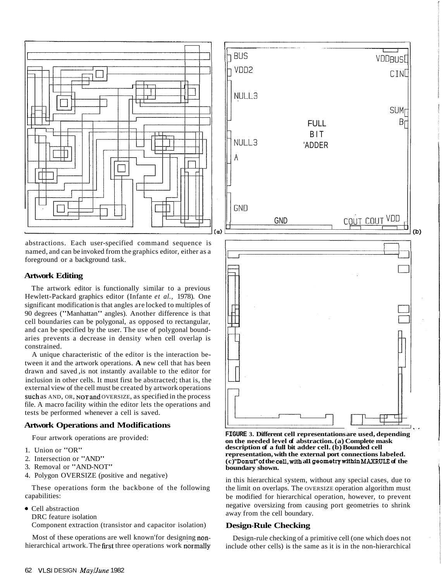

abstractions. Each user-specified command sequence is named, and can be invoked from the graphics editor, either as a foreground or a background task.

#### **Artwork Editing**

The artwork editor is functionally similar to a previous Hewlett-Packard graphics editor (Infante *et al.,* 1978). One significant modification is that angles are locked to multiples of 90 degrees ("Manhattan" angles). Another difference is that cell boundaries can be polygonal, as opposed to rectangular, and can be specified by the user. The use of polygonal boundaries prevents a decrease in density when cell overlap is constrained.

A unique characteristic of the editor is the interaction between it and the artwork operations. **A** new cell that has been drawn and saved ,is not instantly available to the editor for inclusion in other cells. It must first be abstracted; that is, the external view of the cell must be created by artwork operations such as AND, OR, NOT and OVERSIZE, as specified in the process file. A macro facility within the editor lets the operations and tests be performed whenever a cell is saved.

#### **Artwork Operations and Modifications**

Four artwork operations are provided:

- 1. Union or "OR"
- 2. Intersection or "AND"
- 3. Removal or "AND-NOT"
- 4. Polygon OVERSIZE (positive and negative)

These operations form the backbone of the following capabilities:

- Cell abstraction
	- DRC feature isolation

Component extraction (transistor and capacitor isolation)

Most of these operations are well known'for designing nonhierarchical artwork. The first three operations work normally



**FIGURE 3. Different cell representations are used, depending on the needed level of abstraction. (a) Complete mask description of a full bit adder cell. (b) Bounded cell representation, with the external port connections labeled. (c) "Donut"of the cell,.with a11 geometrywithin MAXRULE of the boundary shown.** 

in this hierarchical system, without any special cases, due to the limit on overlaps. The OVERSIZE operation algorithm must be modified for hierarchical operation, however, to prevent negative oversizing from causing port geometries to shrink away from the cell boundary.

#### **Design-Rule Checking**

Design-rule checking of a primitive cell (one which does not include other cells) is the same as it is in the non-hierarchical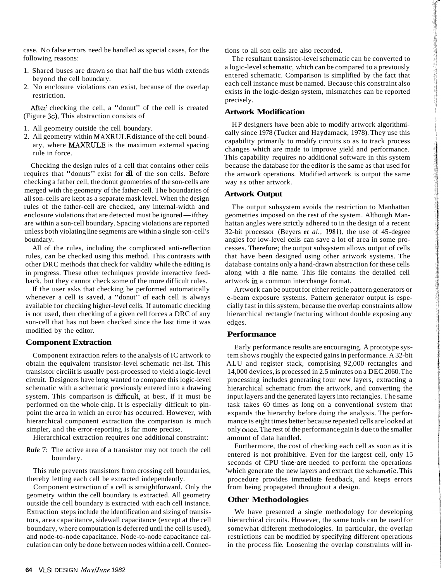case. No false errors need be handled as special cases, for the following reasons:

- 1. Shared buses are drawn so that half the bus width extends beyond the cell boundary.
- 2. No enclosure violations can exist, because of the overlap restriction.

After checking the cell, a "donut" of the cell is created (Figure 3c). This abstraction consists of

- 1. All geometry outside the cell boundary.
- 2. All geometry within MAXRULE distance of the cell boundary, where MAXRULE is the maximum external spacing rule in force.

Checking the design rules of a cell that contains other cells requires that "donuts" exist for all of the son cells. Before checking a father cell, the donut geometries of the son-cells are merged with the geometry of the father-cell. The boundaries of all son-cells are kept as a separate mask level. When the design rules of the father-cell are checked, any internal-width and enclosure violations that are detected must be ignored—ifthey are within a son-cell boundary. Spacing violations are reported unless both violating line segments are within a single son-cell's boundary.

All of the rules, including the complicated anti-reflection rules, can be checked using this method. This contrasts with other DRC methods that check for validity while the editing is in progress. These other techniques provide interactive feedback, but they cannot check some of the more difficult rules.

If the user asks that checking be performed automatically whenever a cell is saved, a "donut" of each cell is always available for checking higher-level cells. If automatic checking is not used, then checking of a given cell forces a DRC of any son-cell that has not been checked since the last time it was modified by the editor.

#### **Component Extraction**

Component extraction refers to the analysis of IC artwork to obtain the equivalent transistor-level schematic net-list. This transistor circiiit is usually post-processed to yield a logic-level circuit. Designers have long wanted to compare this logic-level schematic with a schematic previously entered into a drawing system. This comparison is difficult, at best, if it must be performed on the whole chip. It is especially difficult to pinpoint the area in which an error has occurred. However, with hierarchical component extraction the comparison is much simpler, and the error-reporting is far more precise.

Hierarchical extraction requires one additional constraint:

*Rule* 7: The active area of a transistor may not touch the cell boundary.

This rule prevents transistors from crossing cell boundaries, thereby letting each cell be extracted independently.

Component extraction of a cell is straightforward. Only the geometry within the cell boundary is extracted. All geometry outside the cell boundary is extracted with each cell instance. Extraction steps include the identification and sizing of transistors, area capacitance, sidewall capacitance (except at the cell boundary, where computation is deferred until the cell is used), and node-to-node capacitance. Node-to-node capacitance calculation can only be done between nodes within a cell. Connections to all son cells are also recorded.

The resultant transistor-level schematic can be converted to a logic-level schematic, which can be compared to a previously entered schematic. Comparison is simplified by the fact that each cell instance must be named. Because this constraint also exists in the logic-design system, mismatches can be reported precisely.

#### **Artwork Modification**

HP designers have been able to modify artwork algorithmically since 1978 (Tucker and Haydamack, 1978). They use this capability primarily to modify circuits so as to track process changes which are made to improve yield and performance. This capability requires no additional software in this system because the database for the editor is the same as that used for the artwork operations. Modified artwork is output the same way as other artwork.

#### **Artwork Output**

The output subsystem avoids the restriction to Manhattan geometries imposed on the rest of the system. Although Manhattan angles were strictly adhered to in the design of a recent 32-bit processor (Beyers *et al.,* 1981), the use of 45-degree angles for low-level cells can save a lot of area in some processes. Therefore; the output subsystem allows output of cells that have been designed using other artwork systems. The database contains only a hand-drawn abstraction for these cells along with a fde name. This file contains the detailed cell artwork in a common interchange format.

Artwork can be output for either reticle pattern generators or e-beam exposure systems. Pattern generator output is especially fast in this system, because the overlap constraints allow hierarchical rectangle fracturing without double exposing any edges.

#### **Performance**

Early performance results are encouraging. A prototype system shows roughly the expected gains in performance. A 32-bit ALU and register stack, comprising 92,000 rectangles and 14,000 devices, is processed in 2.5 minutes on a DEC 2060. The processing includes generating four new layers, extracting a hierarchical schematic from the artwork, and converting the input layers and the generated layers into rectangles. The same task takes 60 times as long on a conventional system that expands the hierarchy before doing the analysis. The performance is eight times better because repeated cells are looked at only once.The rest of the performance gain is due to the smaller amount of data handled.

Furthermore, the cost of checking each cell as soon as it is entered is not prohibitive. Even for the largest cell, only 15 seconds of CPU time are needed to perform the operations 'which generate the new layers and extract the schematic. This procedure provides immediate feedback, and keeps errors from being propagated throughout a design.

#### **Other Methodologies**

We have presented a single methodology for developing hierarchical circuits. However, the same tools can be used for somewhat different methodologies. In particular, the overlap restrictions can be modified by specifying different operations in the process file. Loosening the overlap constraints will in